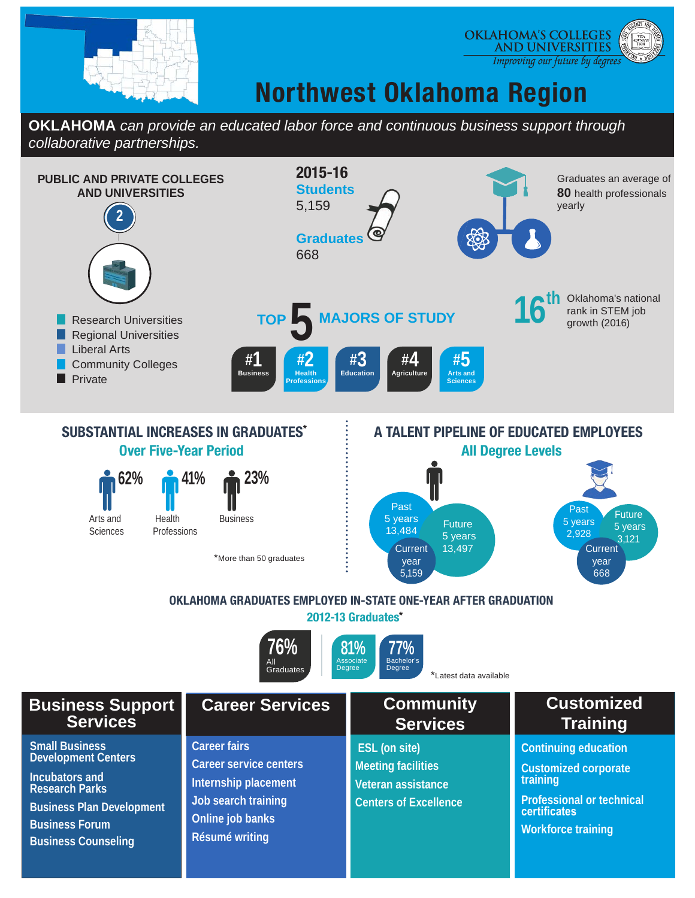

#### **OKLAHOMA'S COLLEGES AND UNIVERSITIES** Improving our future by degrees

## **Northwest Oklahoma Region**

### **OKLAHOMA** *can provide an educated labor force and continuous business support through collaborative partnerships.*